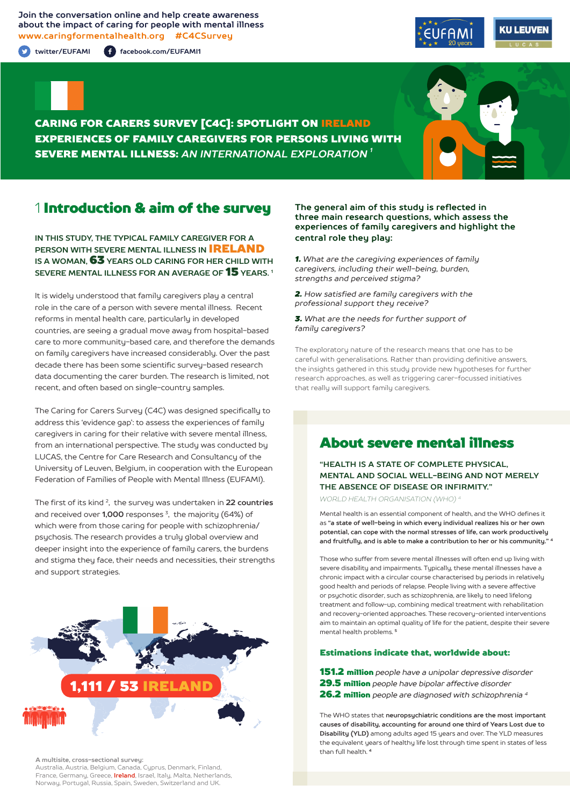**Join the conversation online and help create awareness about the impact of caring for people with mental illness www.caringformentalhealth.org #C4CSurvey**

**twitter/EUFAMI facebook.com/EUFAMI1**





CARING FOR CARERS SURVEY [C4C]: SPOTLIGHT ON IRELAND EXPERIENCES OF FAMILY CAREGIVERS FOR PERSONS LIVING WITH SEVERE MENTAL ILLNESS: *AN INTERNATIONAL EXPLORATION 1*

## 1 Introduction & aim of the survey

**IN THIS STUDY, THE TYPICAL FAMILY CAREGIVER FOR A PERSON WITH SEVERE MENTAL ILLNESS IN** IRELAND **IS A WOMAN,** 63 **YEARS OLD CARING FOR HER CHILD WITH SEVERE MENTAL ILLNESS FOR AN AVERAGE OF** 15 **YEARS. 1**

It is widely understood that family caregivers play a central role in the care of a person with severe mental illness. Recent reforms in mental health care, particularly in developed countries, are seeing a gradual move away from hospital-based care to more community-based care, and therefore the demands on family caregivers have increased considerably. Over the past decade there has been some scientific survey-based research data documenting the carer burden. The research is limited, not recent, and often based on single-country samples.

The Caring for Carers Survey (C4C) was designed specifically to address this 'evidence gap': to assess the experiences of family caregivers in caring for their relative with severe mental illness, from an international perspective. The study was conducted by LUCAS, the Centre for Care Research and Consultancy of the University of Leuven, Belgium, in cooperation with the European Federation of Families of People with Mental Illness (EUFAMI).

The first of its kind 2, the survey was undertaken in **22 countries** and received over **1,000** responses 3, the majority (64%) of which were from those caring for people with schizophrenia/ psychosis. The research provides a truly global overview and deeper insight into the experience of family carers, the burdens and stigma they face, their needs and necessities, their strengths and support strategies.



**A multisite, cross-sectional survey:** 

Australia, Austria, Belgium, Canada, Cyprus, Denmark, Finland, France, Germany, Greece, **Ireland**, Israel, Italy, Malta, Netherlands, Norway, Portugal, Russia, Spain, Sweden, Switzerland and UK.

#### **The general aim of this study is reflected in three main research questions, which assess the experiences of family caregivers and highlight the central role they play:**

*1. What are the caregiving experiences of family caregivers, including their well-being, burden, strengths and perceived stigma?*

*2. How satisfied are family caregivers with the professional support they receive?*

*3. What are the needs for further support of family caregivers?*

The exploratory nature of the research means that one has to be careful with generalisations. Rather than providing definitive answers, the insights gathered in this study provide new hypotheses for further research approaches, as well as triggering carer-focussed initiatives that really will support family caregivers.

## About severe mental illness

**"HEALTH IS A STATE OF COMPLETE PHYSICAL, MENTAL AND SOCIAL WELL-BEING AND NOT MERELY THE ABSENCE OF DISEASE OR INFIRMITY."**

*WORLD HEALTH ORGANISATION (WHO) 4*

Mental health is an essential component of health, and the WHO defines it as **"a state of well-being in which every individual realizes his or her own potential, can cope with the normal stresses of life, can work productively and fruitfully, and is able to make a contribution to her or his community." <sup>4</sup>**

Those who suffer from severe mental illnesses will often end up living with severe disability and impairments. Typically, these mental illnesses have a chronic impact with a circular course characterised by periods in relatively good health and periods of relapse. People living with a severe affective or psychotic disorder, such as schizophrenia, are likely to need lifelong treatment and follow-up, combining medical treatment with rehabilitation and recovery-oriented approaches. These recovery-oriented interventions aim to maintain an optimal quality of life for the patient, despite their severe mental health problems. **<sup>5</sup>**

#### Estimations indicate that, worldwide about:

151.2 million *people have a unipolar depressive disorder* 29.5 million *people have bipolar affective disorder*  26.2 million *people are diagnosed with schizophrenia 4*

The WHO states that **neuropsychiatric conditions are the most important causes of disability, accounting for around one third of Years Lost due to Disability (YLD)** among adults aged 15 years and over. The YLD measures the equivalent years of healthy life lost through time spent in states of less than full health. **<sup>4</sup>**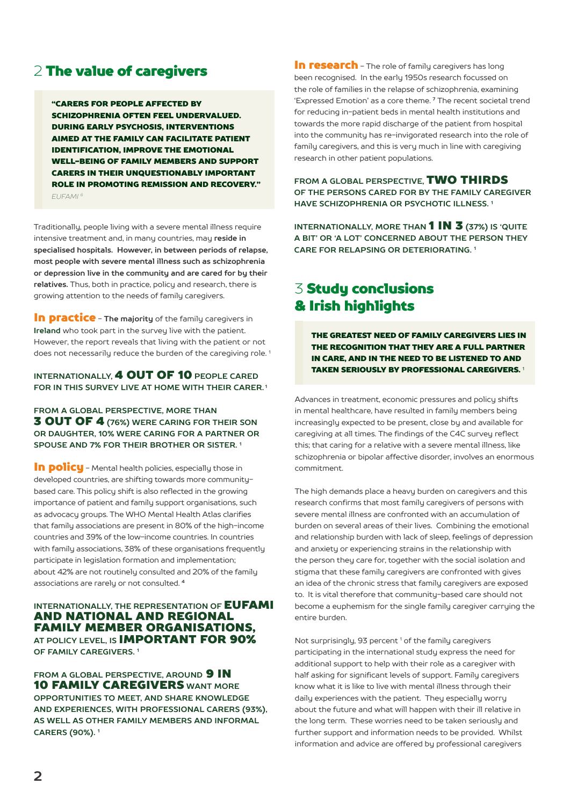## 2 The value of caregivers

"CARERS FOR PEOPLE AFFECTED BY SCHIZOPHRENIA OFTEN FEEL UNDERVALUED. DURING EARLY PSYCHOSIS, INTERVENTIONS AIMED AT THE FAMILY CAN FACILITATE PATIENT IDENTIFICATION, IMPROVE THE EMOTIONAL WELL-BEING OF FAMILY MEMBERS AND SUPPORT CARERS IN THEIR UNQUESTIONABLY IMPORTANT ROLE IN PROMOTING REMISSION AND RECOVERY." *EUFAMI 6*

Traditionally, people living with a severe mental illness require intensive treatment and, in many countries, may **reside in specialised hospitals. However, in between periods of relapse, most people with severe mental illness such as schizophrenia or depression live in the community and are cared for by their relatives.** Thus, both in practice, policy and research, there is growing attention to the needs of family caregivers.

**In practice** - The majority of the family caregivers in **Ireland** who took part in the survey live with the patient. However, the report reveals that living with the patient or not does not necessarily reduce the burden of the caregiving role.<sup>1</sup>

### **INTERNATIONALLY,** 4 OUT OF 10 **PEOPLE CARED FOR IN THIS SURVEY LIVE AT HOME WITH THEIR CARER. 1**

**FROM A GLOBAL PERSPECTIVE, MORE THAN** 3 OUT OF 4 **(76%) WERE CARING FOR THEIR SON OR DAUGHTER, 10% WERE CARING FOR A PARTNER OR SPOUSE AND 7% FOR THEIR BROTHER OR SISTER. 1**

In policu - Mental health policies, especially those in developed countries, are shifting towards more communitybased care. This policy shift is also reflected in the growing importance of patient and family support organisations, such as advocacy groups. The WHO Mental Health Atlas clarifies that family associations are present in 80% of the high-income countries and 39% of the low-income countries. In countries with family associations, 38% of these organisations frequently participate in legislation formation and implementation; about 42% are not routinely consulted and 20% of the family associations are rarely or not consulted. **<sup>4</sup>**

**INTERNATIONALLY, THE REPRESENTATION OF EUFAMI** AND NATIONAL AND REGIONAL FAMILY MEMBER ORGANISATIONS, **AT POLICY LEVEL, IS** IMPORTANT FOR 90% **OF FAMILY CAREGIVERS. 1**

**FROM A GLOBAL PERSPECTIVE. AROUND 9 IN** 10 FAMILY CAREGIVERS **WANT MORE OPPORTUNITIES TO MEET, AND SHARE KNOWLEDGE AND EXPERIENCES, WITH PROFESSIONAL CARERS (93%), AS WELL AS OTHER FAMILY MEMBERS AND INFORMAL CARERS (90%). 1**

In research - The role of family caregivers has long been recognised. In the early 1950s research focussed on the role of families in the relapse of schizophrenia, examining 'Expressed Emotion' as a core theme. **7** The recent societal trend for reducing in-patient beds in mental health institutions and towards the more rapid discharge of the patient from hospital into the community has re-invigorated research into the role of family caregivers, and this is very much in line with caregiving research in other patient populations.

**FROM A GLOBAL PERSPECTIVE,** TWO THIRDS **OF THE PERSONS CARED FOR BY THE FAMILY CAREGIVER HAVE SCHIZOPHRENIA OR PSYCHOTIC ILLNESS. 1**

**INTERNATIONALLY, MORE THAN 1 IN 3 (37%) IS 'QUITE A BIT' OR 'A LOT' CONCERNED ABOUT THE PERSON THEY CARE FOR RELAPSING OR DETERIORATING. 1**

# 3 Study conclusions & Irish highlights

THE GREATEST NEED OF FAMILY CAREGIVERS LIES IN THE RECOGNITION THAT THEY ARE A FULL PARTNER IN CARE, AND IN THE NEED TO BE LISTENED TO AND TAKEN SERIOUSLY BY PROFESSIONAL CAREGIVERS.<sup>1</sup>

Advances in treatment, economic pressures and policy shifts in mental healthcare, have resulted in family members being increasingly expected to be present, close by and available for caregiving at all times. The findings of the C4C survey reflect this; that caring for a relative with a severe mental illness, like schizophrenia or bipolar affective disorder, involves an enormous commitment.

The high demands place a heavy burden on caregivers and this research confirms that most family caregivers of persons with severe mental illness are confronted with an accumulation of burden on several areas of their lives. Combining the emotional and relationship burden with lack of sleep, feelings of depression and anxiety or experiencing strains in the relationship with the person they care for, together with the social isolation and stigma that these family caregivers are confronted with gives an idea of the chronic stress that family caregivers are exposed to. It is vital therefore that community-based care should not become a euphemism for the single family caregiver carrying the entire burden.

Not surprisingly, 93 percent<sup>1</sup> of the family caregivers participating in the international study express the need for additional support to help with their role as a caregiver with half asking for significant levels of support. Family caregivers know what it is like to live with mental illness through their daily experiences with the patient. They especially worry about the future and what will happen with their ill relative in the long term. These worries need to be taken seriously and further support and information needs to be provided. Whilst information and advice are offered by professional caregivers